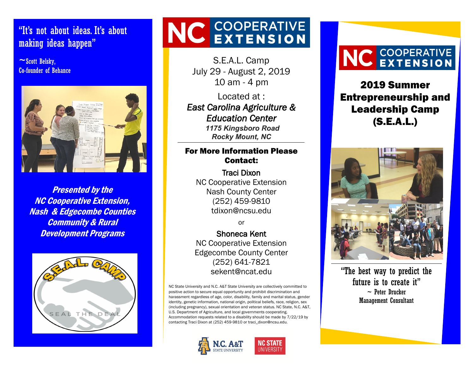#### to the graduate is to get start the way to get start doing the start of the start of the start doing. <mark>making ideas happen"</mark> "It's not about ideas. It's about

 $\sim$ Scott Belsky, Co-founder of Behance



Presented by the NC Cooperative Extension, Nash & Edgecombe Counties Community & Rural Development Programs



# NC COOPERATIVE

S.E.A.L. Camp July 29 - August 2, 2019 10 am - 4 pm

Located at : *East Carolina Agriculture & Education Center 1175 Kingsboro Road Rocky Mount, NC*

#### For More Information Please Contact:

Traci Dixon NC Cooperative Extension Nash County Center (252) 459-9810 tdixon@ncsu.edu

or

Shoneca Kent NC Cooperative Extension Edgecombe County Center (252) 641-7821 sekent@ncat.edu

NC State University and N.C. A&T State University are collectively committed to positive action to secure equal opportunity and prohibit discrimination and harassment regardless of age, color, disability, family and marital status, gender identity, genetic information, national origin, political beliefs, race, religion, sex (including pregnancy), sexual orientation and veteran status. NC State, N.C. A&T, U.S. Department of Agriculture, and local governments cooperating. Accommodation requests related to a disability should be made by 7/22/19 by contacting Traci Dixon at (252) 459-9810 or traci\_dixon@ncsu.edu.



# NC COOPERATIVE

2019 Summer Entrepreneurship and Leadership Camp (S.E.A.L.)



"The best way to predict the future is to create it"  $\sim$  Peter Drucker Management Consultant